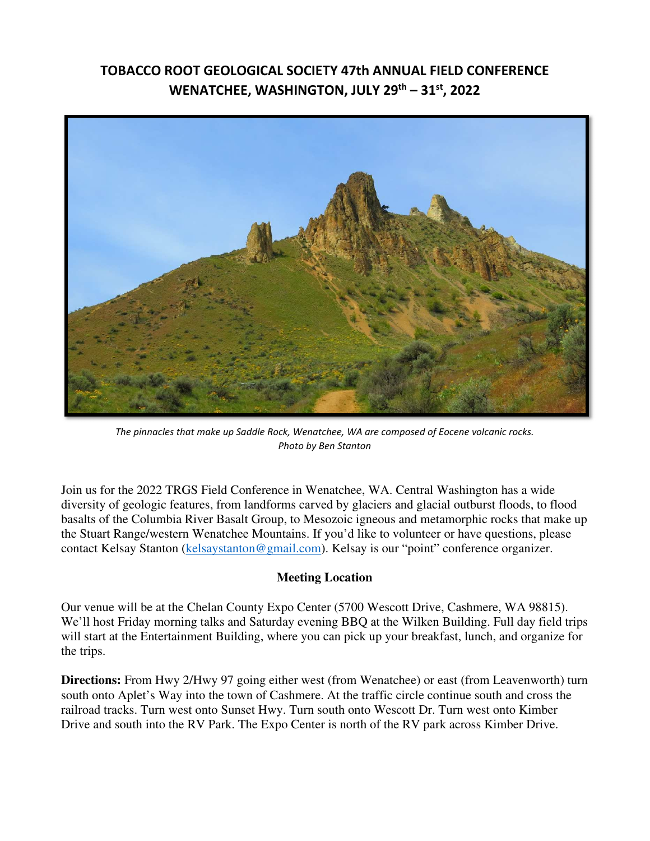# **TOBACCO ROOT GEOLOGICAL SOCIETY 47th ANNUAL FIELD CONFERENCE WENATCHEE, WASHINGTON, JULY 29th – 31st, 2022**



*The pinnacles that make up Saddle Rock, Wenatchee, WA are composed of Eocene volcanic rocks. Photo by Ben Stanton* 

Join us for the 2022 TRGS Field Conference in Wenatchee, WA. Central Washington has a wide diversity of geologic features, from landforms carved by glaciers and glacial outburst floods, to flood basalts of the Columbia River Basalt Group, to Mesozoic igneous and metamorphic rocks that make up the Stuart Range/western Wenatchee Mountains. If you'd like to volunteer or have questions, please contact Kelsay Stanton (kelsaystanton@gmail.com). Kelsay is our "point" conference organizer.

# **Meeting Location**

Our venue will be at the Chelan County Expo Center (5700 Wescott Drive, Cashmere, WA 98815). We'll host Friday morning talks and Saturday evening BBQ at the Wilken Building. Full day field trips will start at the Entertainment Building, where you can pick up your breakfast, lunch, and organize for the trips.

**Directions:** From Hwy 2/Hwy 97 going either west (from Wenatchee) or east (from Leavenworth) turn south onto Aplet's Way into the town of Cashmere. At the traffic circle continue south and cross the railroad tracks. Turn west onto Sunset Hwy. Turn south onto Wescott Dr. Turn west onto Kimber Drive and south into the RV Park. The Expo Center is north of the RV park across Kimber Drive.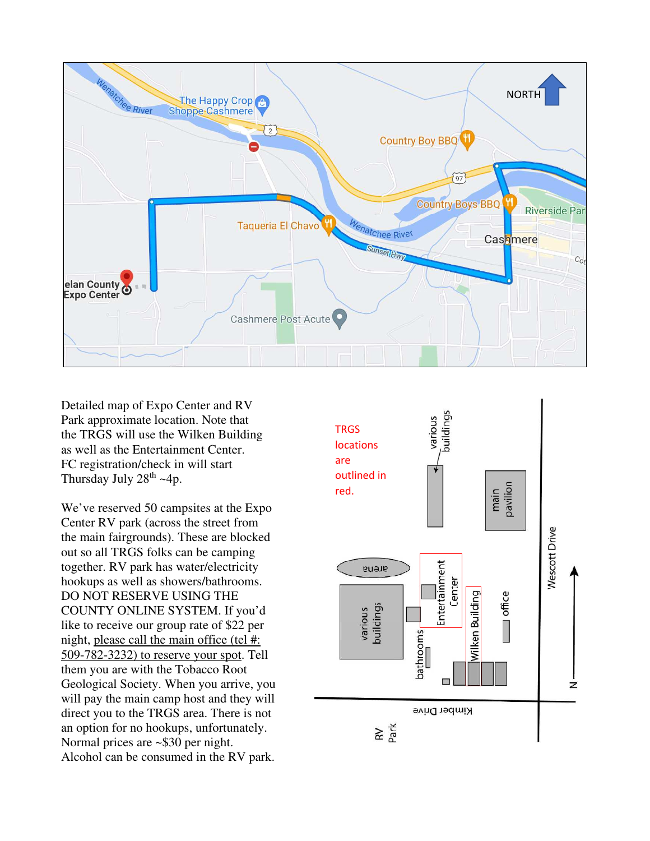

Detailed map of Expo Center and RV Park approximate location. Note that the TRGS will use the Wilken Building as well as the Entertainment Center. FC registration/check in will start Thursday July  $28^{th}$  ~4p.

We've reserved 50 campsites at the Expo Center RV park (across the street from the main fairgrounds). These are blocked out so all TRGS folks can be camping together. RV park has water/electricity hookups as well as showers/bathrooms. DO NOT RESERVE USING THE COUNTY ONLINE SYSTEM. If you'd like to receive our group rate of \$22 per night, please call the main office (tel #: 509-782-3232) to reserve your spot. Tell them you are with the Tobacco Root Geological Society. When you arrive, you will pay the main camp host and they will direct you to the TRGS area. There is not an option for no hookups, unfortunately. Normal prices are ~\$30 per night. Alcohol can be consumed in the RV park.

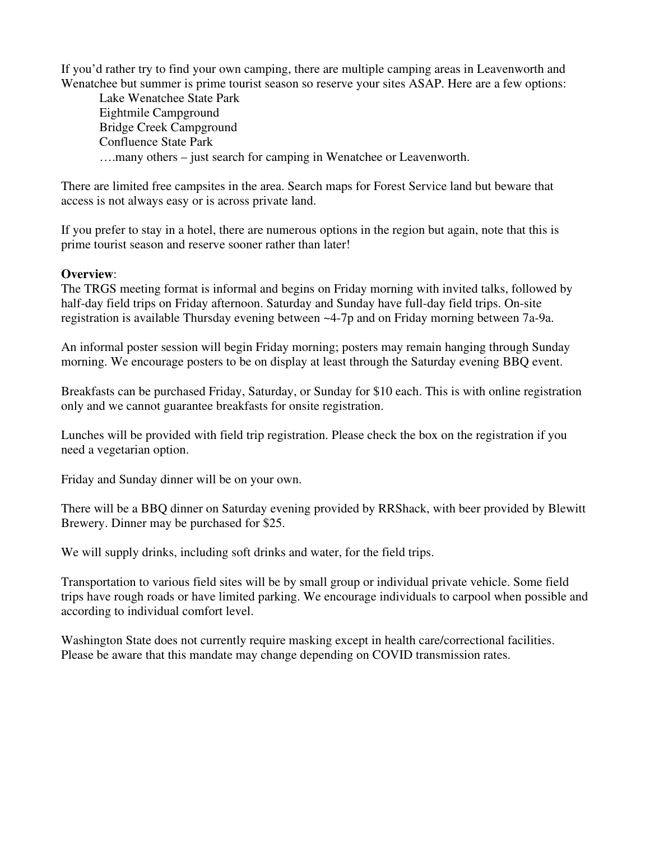If you'd rather try to find your own camping, there are multiple camping areas in Leavenworth and Wenatchee but summer is prime tourist season so reserve your sites ASAP. Here are a few options:

Lake Wenatchee State Park Eightmile Campground Bridge Creek Campground Confluence State Park ….many others – just search for camping in Wenatchee or Leavenworth.

There are limited free campsites in the area. Search maps for Forest Service land but beware that access is not always easy or is across private land.

If you prefer to stay in a hotel, there are numerous options in the region but again, note that this is prime tourist season and reserve sooner rather than later!

# **Overview**:

The TRGS meeting format is informal and begins on Friday morning with invited talks, followed by half-day field trips on Friday afternoon. Saturday and Sunday have full-day field trips. On-site registration is available Thursday evening between ~4-7p and on Friday morning between 7a-9a.

An informal poster session will begin Friday morning; posters may remain hanging through Sunday morning. We encourage posters to be on display at least through the Saturday evening BBQ event.

Breakfasts can be purchased Friday, Saturday, or Sunday for \$10 each. This is with online registration only and we cannot guarantee breakfasts for onsite registration.

Lunches will be provided with field trip registration. Please check the box on the registration if you need a vegetarian option.

Friday and Sunday dinner will be on your own.

There will be a BBQ dinner on Saturday evening provided by RRShack, with beer provided by Blewitt Brewery. Dinner may be purchased for \$25.

We will supply drinks, including soft drinks and water, for the field trips.

Transportation to various field sites will be by small group or individual private vehicle. Some field trips have rough roads or have limited parking. We encourage individuals to carpool when possible and according to individual comfort level.

Washington State does not currently require masking except in health care/correctional facilities. Please be aware that this mandate may change depending on COVID transmission rates.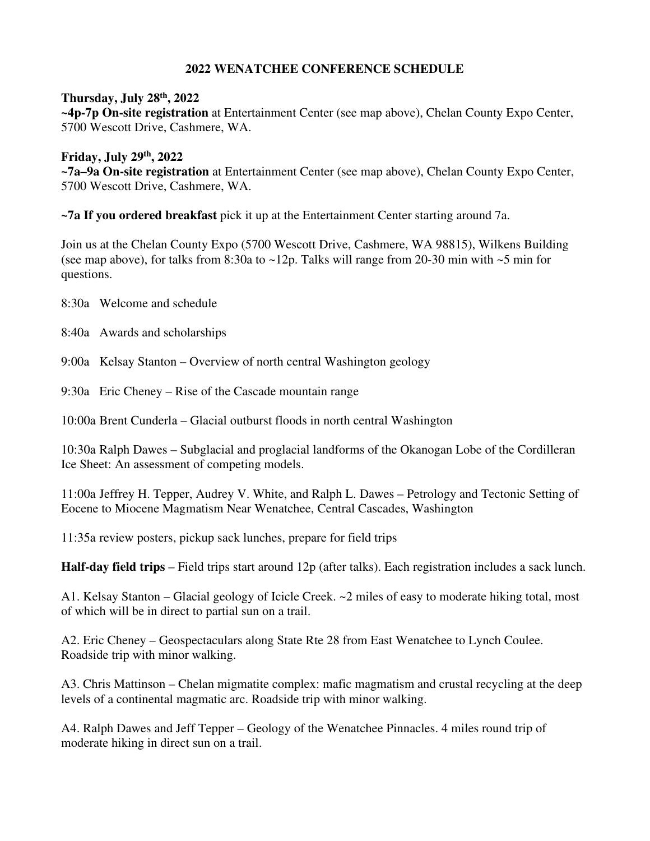# **2022 WENATCHEE CONFERENCE SCHEDULE**

# **Thursday, July 28th, 2022**

**~4p-7p On-site registration** at Entertainment Center (see map above), Chelan County Expo Center, 5700 Wescott Drive, Cashmere, WA.

#### **Friday, July 29th, 2022 ~7a–9a On-site registration** at Entertainment Center (see map above), Chelan County Expo Center, 5700 Wescott Drive, Cashmere, WA.

**~7a If you ordered breakfast** pick it up at the Entertainment Center starting around 7a.

Join us at the Chelan County Expo (5700 Wescott Drive, Cashmere, WA 98815), Wilkens Building (see map above), for talks from 8:30a to  $\sim$ 12p. Talks will range from 20-30 min with  $\sim$ 5 min for questions.

8:30a Welcome and schedule

8:40a Awards and scholarships

9:00a Kelsay Stanton – Overview of north central Washington geology

9:30a Eric Cheney – Rise of the Cascade mountain range

10:00a Brent Cunderla – Glacial outburst floods in north central Washington

10:30a Ralph Dawes – Subglacial and proglacial landforms of the Okanogan Lobe of the Cordilleran Ice Sheet: An assessment of competing models.

11:00a Jeffrey H. Tepper, Audrey V. White, and Ralph L. Dawes – Petrology and Tectonic Setting of Eocene to Miocene Magmatism Near Wenatchee, Central Cascades, Washington

11:35a review posters, pickup sack lunches, prepare for field trips

**Half-day field trips** – Field trips start around 12p (after talks). Each registration includes a sack lunch.

A1. Kelsay Stanton – Glacial geology of Icicle Creek. ~2 miles of easy to moderate hiking total, most of which will be in direct to partial sun on a trail.

A2. Eric Cheney – Geospectaculars along State Rte 28 from East Wenatchee to Lynch Coulee. Roadside trip with minor walking.

A3. Chris Mattinson – Chelan migmatite complex: mafic magmatism and crustal recycling at the deep levels of a continental magmatic arc. Roadside trip with minor walking.

A4. Ralph Dawes and Jeff Tepper – Geology of the Wenatchee Pinnacles. 4 miles round trip of moderate hiking in direct sun on a trail.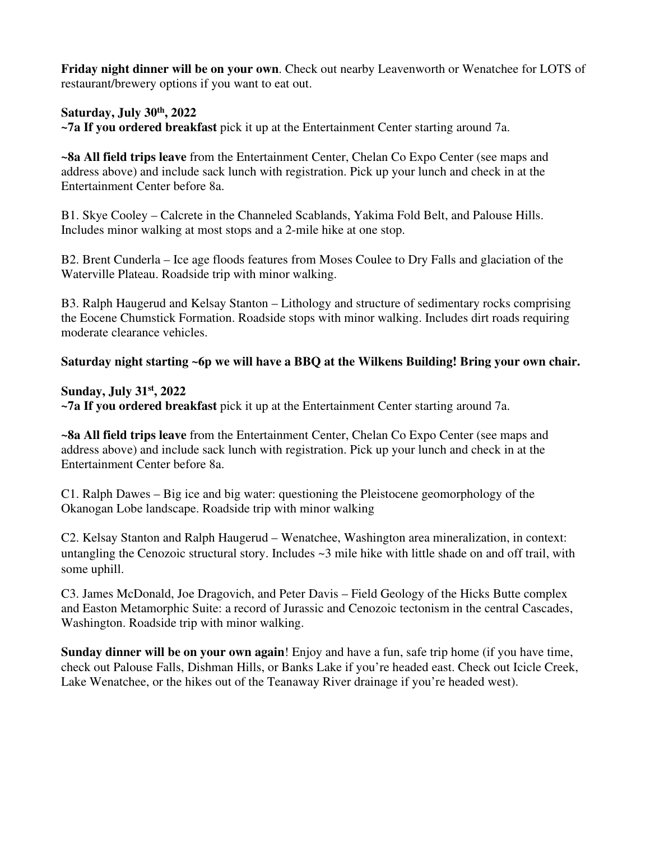**Friday night dinner will be on your own**. Check out nearby Leavenworth or Wenatchee for LOTS of restaurant/brewery options if you want to eat out.

**Saturday, July 30th, 2022** 

**~7a If you ordered breakfast** pick it up at the Entertainment Center starting around 7a.

**~8a All field trips leave** from the Entertainment Center, Chelan Co Expo Center (see maps and address above) and include sack lunch with registration. Pick up your lunch and check in at the Entertainment Center before 8a.

B1. Skye Cooley – Calcrete in the Channeled Scablands, Yakima Fold Belt, and Palouse Hills. Includes minor walking at most stops and a 2-mile hike at one stop.

B2. Brent Cunderla – Ice age floods features from Moses Coulee to Dry Falls and glaciation of the Waterville Plateau. Roadside trip with minor walking.

B3. Ralph Haugerud and Kelsay Stanton – Lithology and structure of sedimentary rocks comprising the Eocene Chumstick Formation. Roadside stops with minor walking. Includes dirt roads requiring moderate clearance vehicles.

# **Saturday night starting ~6p we will have a BBQ at the Wilkens Building! Bring your own chair.**

#### **Sunday, July 31st, 2022**

**~7a If you ordered breakfast** pick it up at the Entertainment Center starting around 7a.

**~8a All field trips leave** from the Entertainment Center, Chelan Co Expo Center (see maps and address above) and include sack lunch with registration. Pick up your lunch and check in at the Entertainment Center before 8a.

C1. Ralph Dawes – Big ice and big water: questioning the Pleistocene geomorphology of the Okanogan Lobe landscape. Roadside trip with minor walking

C2. Kelsay Stanton and Ralph Haugerud – Wenatchee, Washington area mineralization, in context: untangling the Cenozoic structural story. Includes ~3 mile hike with little shade on and off trail, with some uphill.

C3. James McDonald, Joe Dragovich, and Peter Davis – Field Geology of the Hicks Butte complex and Easton Metamorphic Suite: a record of Jurassic and Cenozoic tectonism in the central Cascades, Washington. Roadside trip with minor walking.

**Sunday dinner will be on your own again**! Enjoy and have a fun, safe trip home (if you have time, check out Palouse Falls, Dishman Hills, or Banks Lake if you're headed east. Check out Icicle Creek, Lake Wenatchee, or the hikes out of the Teanaway River drainage if you're headed west).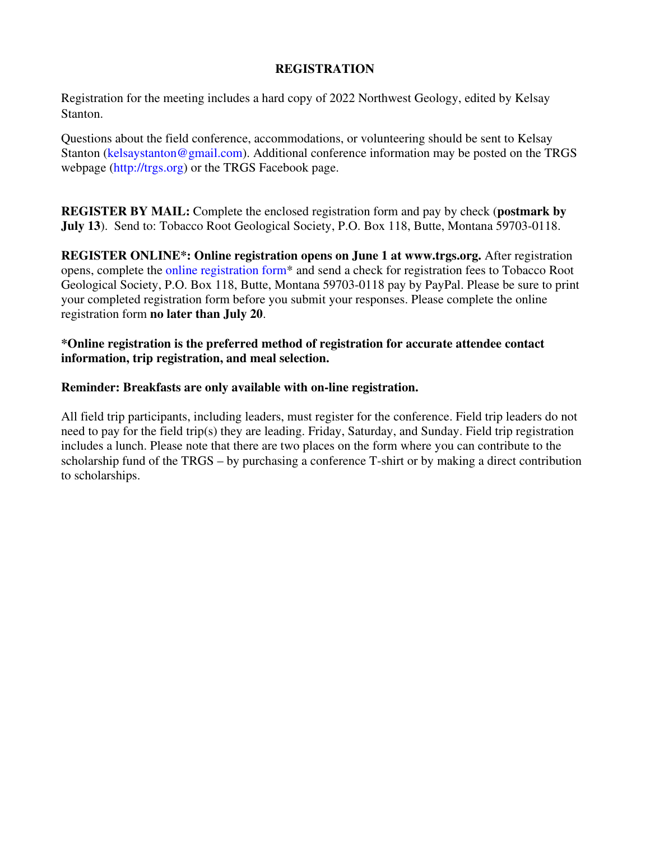# **REGISTRATION**

Registration for the meeting includes a hard copy of 2022 Northwest Geology, edited by Kelsay Stanton.

Questions about the field conference, accommodations, or volunteering should be sent to Kelsay Stanton (kelsaystanton@gmail.com). Additional conference information may be posted on the TRGS webpage (http://trgs.org) or the TRGS Facebook page.

**REGISTER BY MAIL:** Complete the enclosed registration form and pay by check (**postmark by July 13**). Send to: Tobacco Root Geological Society, P.O. Box 118, Butte, Montana 59703-0118.

**REGISTER ONLINE\*: Online registration opens on June 1 at www.trgs.org.** After registration opens, complete the online registration form\* and send a check for registration fees to Tobacco Root Geological Society, P.O. Box 118, Butte, Montana 59703-0118 pay by PayPal. Please be sure to print your completed registration form before you submit your responses. Please complete the online registration form **no later than July 20**.

**\*Online registration is the preferred method of registration for accurate attendee contact information, trip registration, and meal selection.**

# **Reminder: Breakfasts are only available with on-line registration.**

All field trip participants, including leaders, must register for the conference. Field trip leaders do not need to pay for the field trip(s) they are leading. Friday, Saturday, and Sunday. Field trip registration includes a lunch. Please note that there are two places on the form where you can contribute to the scholarship fund of the TRGS – by purchasing a conference T-shirt or by making a direct contribution to scholarships.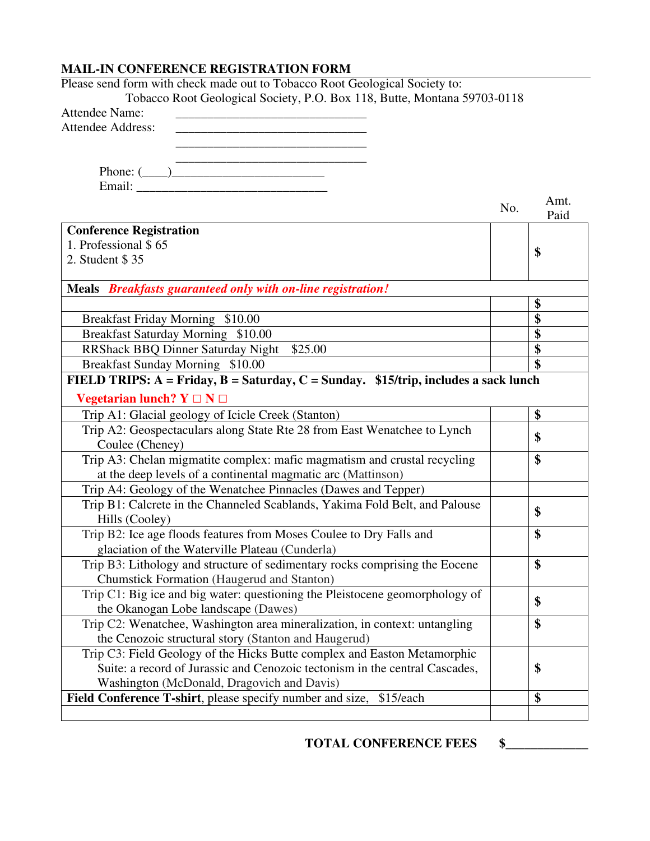#### **MAIL-IN CONFERENCE REGISTRATION FORM**

| Please send form with check made out to Tobacco Root Geological Society to:           |     |      |
|---------------------------------------------------------------------------------------|-----|------|
| Tobacco Root Geological Society, P.O. Box 118, Butte, Montana 59703-0118              |     |      |
| <b>Attendee Name:</b>                                                                 |     |      |
| <b>Attendee Address:</b>                                                              |     |      |
|                                                                                       |     |      |
|                                                                                       |     |      |
| Phone: $(\_\_)$                                                                       |     |      |
|                                                                                       |     |      |
|                                                                                       |     | Amt. |
|                                                                                       | No. | Paid |
| <b>Conference Registration</b>                                                        |     |      |
| 1. Professional \$65                                                                  |     |      |
| 2. Student \$35                                                                       |     | \$   |
|                                                                                       |     |      |
| Meals Breakfasts guaranteed only with on-line registration!                           |     |      |
|                                                                                       |     | \$   |
| Breakfast Friday Morning \$10.00                                                      |     | \$   |
| Breakfast Saturday Morning \$10.00                                                    |     | \$   |
| <b>RRShack BBQ Dinner Saturday Night</b><br>\$25.00                                   |     | \$   |
| Breakfast Sunday Morning \$10.00                                                      |     | \$   |
|                                                                                       |     |      |
| FIELD TRIPS: $A = Friday, B = Saturday, C = Sunday.$ \$15/trip, includes a sack lunch |     |      |
| Vegetarian lunch? $Y \square N \square$                                               |     |      |
| Trip A1: Glacial geology of Icicle Creek (Stanton)                                    |     | \$   |
| Trip A2: Geospectaculars along State Rte 28 from East Wenatchee to Lynch              |     | \$   |
| Coulee (Cheney)                                                                       |     |      |
| Trip A3: Chelan migmatite complex: mafic magmatism and crustal recycling              |     | \$   |
| at the deep levels of a continental magmatic arc (Mattinson)                          |     |      |
| Trip A4: Geology of the Wenatchee Pinnacles (Dawes and Tepper)                        |     |      |
| Trip B1: Calcrete in the Channeled Scablands, Yakima Fold Belt, and Palouse           |     |      |
| Hills (Cooley)                                                                        |     | \$   |
| Trip B2: Ice age floods features from Moses Coulee to Dry Falls and                   |     | \$   |
| glaciation of the Waterville Plateau (Cunderla)                                       |     |      |
| Trip B3: Lithology and structure of sedimentary rocks comprising the Eocene           |     | \$   |
| <b>Chumstick Formation (Haugerud and Stanton)</b>                                     |     |      |
| Trip C1: Big ice and big water: questioning the Pleistocene geomorphology of          |     |      |
| the Okanogan Lobe landscape (Dawes)                                                   |     | \$   |
| Trip C2: Wenatchee, Washington area mineralization, in context: untangling            |     | \$   |
| the Cenozoic structural story (Stanton and Haugerud)                                  |     |      |
| Trip C3: Field Geology of the Hicks Butte complex and Easton Metamorphic              |     |      |
| Suite: a record of Jurassic and Cenozoic tectonism in the central Cascades,           |     | \$   |
| Washington (McDonald, Dragovich and Davis)                                            |     |      |
|                                                                                       |     | \$   |
| Field Conference T-shirt, please specify number and size, \$15/each                   |     |      |
|                                                                                       |     |      |

**TOTAL CONFERENCE FEES \$\_\_\_\_\_\_\_\_\_\_\_\_\_**